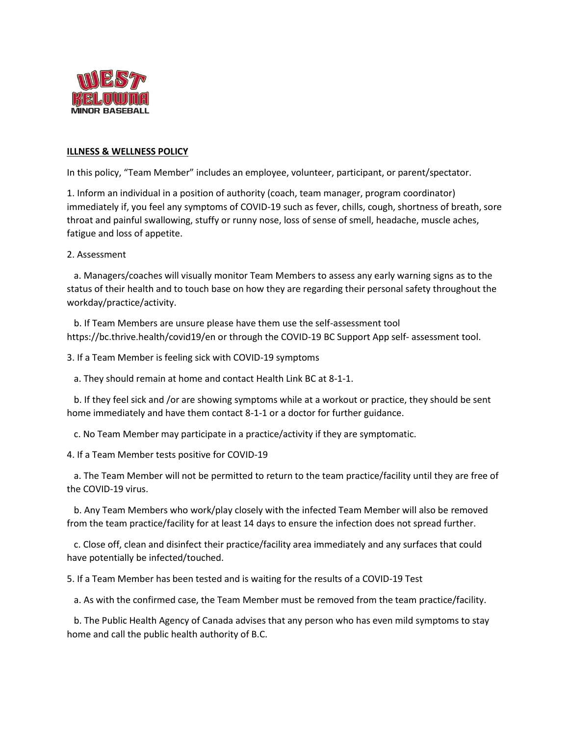

## **ILLNESS & WELLNESS POLICY**

In this policy, "Team Member" includes an employee, volunteer, participant, or parent/spectator.

1. Inform an individual in a position of authority (coach, team manager, program coordinator) immediately if, you feel any symptoms of COVID-19 such as fever, chills, cough, shortness of breath, sore throat and painful swallowing, stuffy or runny nose, loss of sense of smell, headache, muscle aches, fatigue and loss of appetite.

2. Assessment

 a. Managers/coaches will visually monitor Team Members to assess any early warning signs as to the status of their health and to touch base on how they are regarding their personal safety throughout the workday/practice/activity.

 b. If Team Members are unsure please have them use the self-assessment tool https://bc.thrive.health/covid19/en or through the COVID-19 BC Support App self- assessment tool.

3. If a Team Member is feeling sick with COVID-19 symptoms

a. They should remain at home and contact Health Link BC at 8-1-1.

 b. If they feel sick and /or are showing symptoms while at a workout or practice, they should be sent home immediately and have them contact 8-1-1 or a doctor for further guidance.

c. No Team Member may participate in a practice/activity if they are symptomatic.

4. If a Team Member tests positive for COVID-19

 a. The Team Member will not be permitted to return to the team practice/facility until they are free of the COVID-19 virus.

 b. Any Team Members who work/play closely with the infected Team Member will also be removed from the team practice/facility for at least 14 days to ensure the infection does not spread further.

 c. Close off, clean and disinfect their practice/facility area immediately and any surfaces that could have potentially be infected/touched.

5. If a Team Member has been tested and is waiting for the results of a COVID-19 Test

a. As with the confirmed case, the Team Member must be removed from the team practice/facility.

 b. The Public Health Agency of Canada advises that any person who has even mild symptoms to stay home and call the public health authority of B.C.